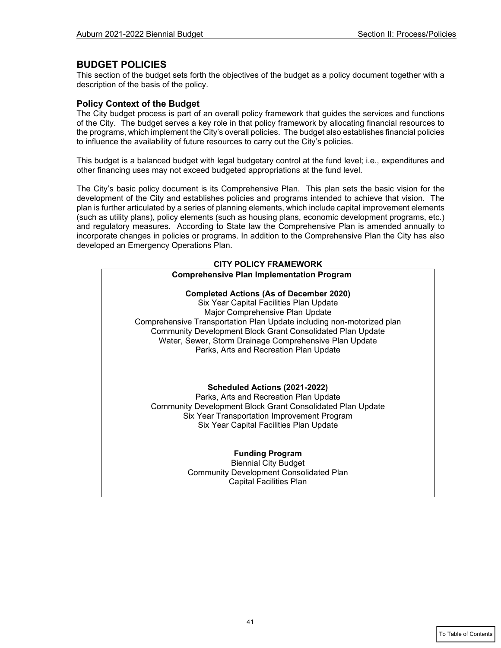## **BUDGET POLICIES**

This section of the budget sets forth the objectives of the budget as a policy document together with a description of the basis of the policy.

### **Policy Context of the Budget**

The City budget process is part of an overall policy framework that guides the services and functions of the City. The budget serves a key role in that policy framework by allocating financial resources to the programs, which implement the City's overall policies. The budget also establishes financial policies to influence the availability of future resources to carry out the City's policies.

This budget is a balanced budget with legal budgetary control at the fund level; i.e., expenditures and other financing uses may not exceed budgeted appropriations at the fund level.

The City's basic policy document is its Comprehensive Plan. This plan sets the basic vision for the development of the City and establishes policies and programs intended to achieve that vision. The plan is further articulated by a series of planning elements, which include capital improvement elements (such as utility plans), policy elements (such as housing plans, economic development programs, etc.) and regulatory measures. According to State law the Comprehensive Plan is amended annually to incorporate changes in policies or programs. In addition to the Comprehensive Plan the City has also developed an Emergency Operations Plan.

# **CITY POLICY FRAMEWORK Comprehensive Plan Implementation Program Completed Actions (As of December 2020)**  Six Year Capital Facilities Plan Update Major Comprehensive Plan Update Comprehensive Transportation Plan Update including non-motorized plan Community Development Block Grant Consolidated Plan Update Water, Sewer, Storm Drainage Comprehensive Plan Update Parks, Arts and Recreation Plan Update **Scheduled Actions (2021-2022)**  Parks, Arts and Recreation Plan Update Community Development Block Grant Consolidated Plan Update Six Year Transportation Improvement Program Six Year Capital Facilities Plan Update **Funding Program** Biennial City Budget Community Development Consolidated Plan Capital Facilities Plan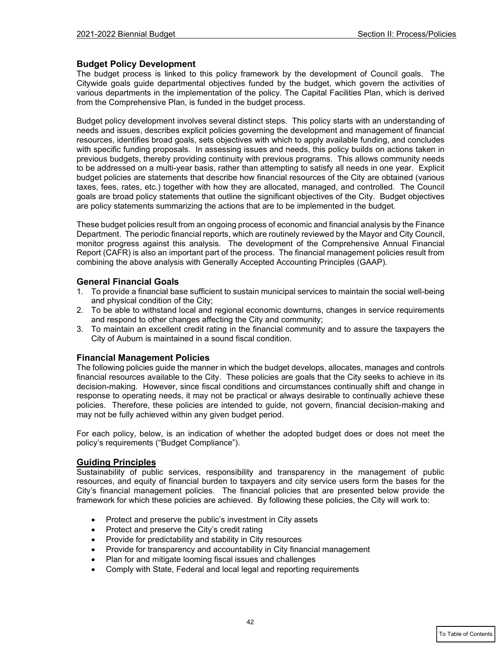### **Budget Policy Development**

The budget process is linked to this policy framework by the development of Council goals. The Citywide goals guide departmental objectives funded by the budget, which govern the activities of various departments in the implementation of the policy. The Capital Facilities Plan, which is derived from the Comprehensive Plan, is funded in the budget process.

Budget policy development involves several distinct steps. This policy starts with an understanding of needs and issues, describes explicit policies governing the development and management of financial resources, identifies broad goals, sets objectives with which to apply available funding, and concludes with specific funding proposals. In assessing issues and needs, this policy builds on actions taken in previous budgets, thereby providing continuity with previous programs. This allows community needs to be addressed on a multi-year basis, rather than attempting to satisfy all needs in one year. Explicit budget policies are statements that describe how financial resources of the City are obtained (various taxes, fees, rates, etc.) together with how they are allocated, managed, and controlled. The Council goals are broad policy statements that outline the significant objectives of the City. Budget objectives are policy statements summarizing the actions that are to be implemented in the budget.

These budget policies result from an ongoing process of economic and financial analysis by the Finance Department. The periodic financial reports, which are routinely reviewed by the Mayor and City Council, monitor progress against this analysis. The development of the Comprehensive Annual Financial Report (CAFR) is also an important part of the process. The financial management policies result from combining the above analysis with Generally Accepted Accounting Principles (GAAP).

### **General Financial Goals**

- 1. To provide a financial base sufficient to sustain municipal services to maintain the social well-being and physical condition of the City;
- 2. To be able to withstand local and regional economic downturns, changes in service requirements and respond to other changes affecting the City and community;
- 3. To maintain an excellent credit rating in the financial community and to assure the taxpayers the City of Auburn is maintained in a sound fiscal condition.

#### **Financial Management Policies**

The following policies guide the manner in which the budget develops, allocates, manages and controls financial resources available to the City. These policies are goals that the City seeks to achieve in its decision-making. However, since fiscal conditions and circumstances continually shift and change in response to operating needs, it may not be practical or always desirable to continually achieve these policies. Therefore, these policies are intended to guide, not govern, financial decision-making and may not be fully achieved within any given budget period.

For each policy, below, is an indication of whether the adopted budget does or does not meet the policy's requirements ("Budget Compliance").

#### **Guiding Principles**

Sustainability of public services, responsibility and transparency in the management of public resources, and equity of financial burden to taxpayers and city service users form the bases for the City's financial management policies. The financial policies that are presented below provide the framework for which these policies are achieved. By following these policies, the City will work to:

- Protect and preserve the public's investment in City assets
- Protect and preserve the City's credit rating
- Provide for predictability and stability in City resources
- Provide for transparency and accountability in City financial management
- Plan for and mitigate looming fiscal issues and challenges
- Comply with State, Federal and local legal and reporting requirements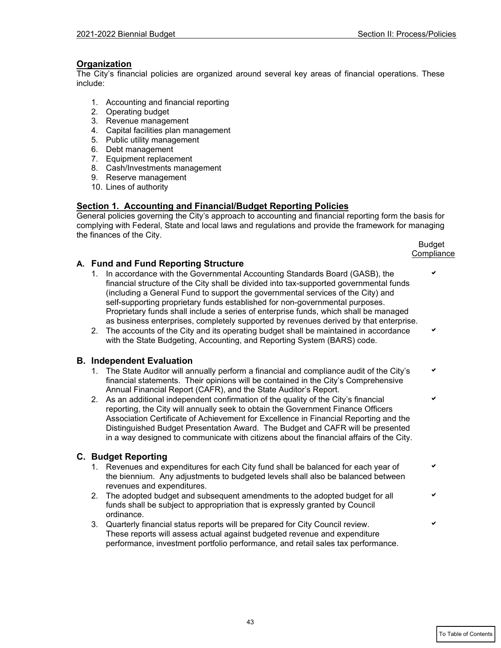## **Organization**

The City's financial policies are organized around several key areas of financial operations. These include:

- 1. Accounting and financial reporting
- 2. Operating budget
- 3. Revenue management
- 4. Capital facilities plan management
- 5. Public utility management
- 6. Debt management
- 7. Equipment replacement
- 8. Cash/Investments management
- 9. Reserve management
- 10. Lines of authority

### **Section 1. Accounting and Financial/Budget Reporting Policies**

General policies governing the City's approach to accounting and financial reporting form the basis for complying with Federal, State and local laws and regulations and provide the framework for managing the finances of the City.

en de la provincia de la provincia de la provincia de la provincia de la provincia de la provincia de la provi **Compliance** 

## **A. Fund and Fund Reporting Structure**

- 1. In accordance with the Governmental Accounting Standards Board (GASB), the financial structure of the City shall be divided into tax-supported governmental funds (including a General Fund to support the governmental services of the City) and self-supporting proprietary funds established for non-governmental purposes. Proprietary funds shall include a series of enterprise funds, which shall be managed as business enterprises, completely supported by revenues derived by that enterprise.
- 2. The accounts of the City and its operating budget shall be maintained in accordance with the State Budgeting, Accounting, and Reporting System (BARS) code.

#### **B. Independent Evaluation**

- 1. The State Auditor will annually perform a financial and compliance audit of the City's financial statements. Their opinions will be contained in the City's Comprehensive Annual Financial Report (CAFR), and the State Auditor's Report.
- 2. As an additional independent confirmation of the quality of the City's financial reporting, the City will annually seek to obtain the Government Finance Officers Association Certificate of Achievement for Excellence in Financial Reporting and the Distinguished Budget Presentation Award. The Budget and CAFR will be presented in a way designed to communicate with citizens about the financial affairs of the City.

#### **C. Budget Reporting**

- 1. Revenues and expenditures for each City fund shall be balanced for each year of the biennium. Any adjustments to budgeted levels shall also be balanced between revenues and expenditures.
- 2. The adopted budget and subsequent amendments to the adopted budget for all funds shall be subject to appropriation that is expressly granted by Council ordinance.
- 3. Quarterly financial status reports will be prepared for City Council review. These reports will assess actual against budgeted revenue and expenditure performance, investment portfolio performance, and retail sales tax performance.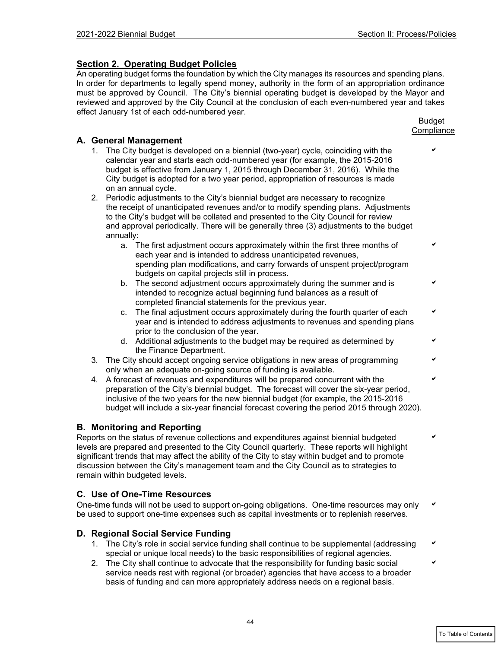# **Section 2. Operating Budget Policies**

An operating budget forms the foundation by which the City manages its resources and spending plans. In order for departments to legally spend money, authority in the form of an appropriation ordinance must be approved by Council. The City's biennial operating budget is developed by the Mayor and reviewed and approved by the City Council at the conclusion of each even-numbered year and takes effect January 1st of each odd-numbered year.

### en de la provincia de la provincia de la provincia de la provincia de la provincia de la provincia de la provi **Compliance**

# **A. General Management**

- 1. The City budget is developed on a biennial (two-year) cycle, coinciding with the calendar year and starts each odd-numbered year (for example, the 2015-2016 budget is effective from January 1, 2015 through December 31, 2016). While the City budget is adopted for a two year period, appropriation of resources is made on an annual cycle.
- 2. Periodic adjustments to the City's biennial budget are necessary to recognize the receipt of unanticipated revenues and/or to modify spending plans. Adjustments to the City's budget will be collated and presented to the City Council for review and approval periodically. There will be generally three (3) adjustments to the budget annually:
	- a. The first adjustment occurs approximately within the first three months of each year and is intended to address unanticipated revenues, spending plan modifications, and carry forwards of unspent project/program budgets on capital projects still in process.
	- b. The second adjustment occurs approximately during the summer and is intended to recognize actual beginning fund balances as a result of completed financial statements for the previous year.
	- c. The final adjustment occurs approximately during the fourth quarter of each year and is intended to address adjustments to revenues and spending plans prior to the conclusion of the year.
	- d. Additional adjustments to the budget may be required as determined by the Finance Department.
- 3. The City should accept ongoing service obligations in new areas of programming only when an adequate on-going source of funding is available.
- 4. A forecast of revenues and expenditures will be prepared concurrent with the preparation of the City's biennial budget. The forecast will cover the six-year period, inclusive of the two years for the new biennial budget (for example, the 2015-2016 budget will include a six-year financial forecast covering the period 2015 through 2020).

# **B. Monitoring and Reporting**

Reports on the status of revenue collections and expenditures against biennial budgeted levels are prepared and presented to the City Council quarterly. These reports will highlight significant trends that may affect the ability of the City to stay within budget and to promote discussion between the City's management team and the City Council as to strategies to remain within budgeted levels.

# **C. Use of One-Time Resources**

One-time funds will not be used to support on-going obligations. One-time resources may only be used to support one-time expenses such as capital investments or to replenish reserves.

# **D. Regional Social Service Funding**

- 1. The City's role in social service funding shall continue to be supplemental (addressing special or unique local needs) to the basic responsibilities of regional agencies.
- 2. The City shall continue to advocate that the responsibility for funding basic social service needs rest with regional (or broader) agencies that have access to a broader basis of funding and can more appropriately address needs on a regional basis.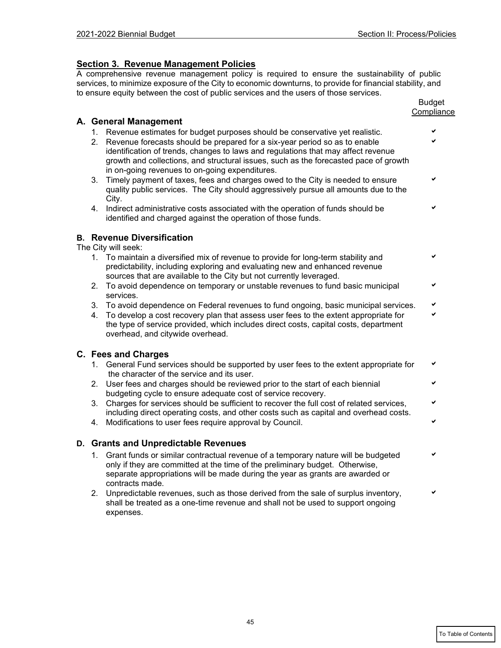## **Section 3. Revenue Management Policies**

A comprehensive revenue management policy is required to ensure the sustainability of public services, to minimize exposure of the City to economic downturns, to provide for financial stability, and to ensure equity between the cost of public services and the users of those services.

|    |                                                                                                                                  | <b>Budget</b><br>Compliance |
|----|----------------------------------------------------------------------------------------------------------------------------------|-----------------------------|
|    | A. General Management                                                                                                            |                             |
|    | 1. Revenue estimates for budget purposes should be conservative yet realistic.                                                   |                             |
|    | 2. Revenue forecasts should be prepared for a six-year period so as to enable                                                    |                             |
|    | identification of trends, changes to laws and regulations that may affect revenue                                                |                             |
|    | growth and collections, and structural issues, such as the forecasted pace of growth                                             |                             |
| 3. | in on-going revenues to on-going expenditures.<br>Timely payment of taxes, fees and charges owed to the City is needed to ensure | ✔                           |
|    | quality public services. The City should aggressively pursue all amounts due to the                                              |                             |
|    | City.                                                                                                                            |                             |
| 4. | Indirect administrative costs associated with the operation of funds should be                                                   |                             |
|    | identified and charged against the operation of those funds.                                                                     |                             |
|    | <b>B.</b> Revenue Diversification                                                                                                |                             |
|    | The City will seek:                                                                                                              |                             |
| 1. | To maintain a diversified mix of revenue to provide for long-term stability and                                                  |                             |
|    | predictability, including exploring and evaluating new and enhanced revenue                                                      |                             |
|    | sources that are available to the City but not currently leveraged.                                                              |                             |
| 2. | To avoid dependence on temporary or unstable revenues to fund basic municipal<br>services.                                       |                             |
| 3. | To avoid dependence on Federal revenues to fund ongoing, basic municipal services.                                               |                             |
| 4. | To develop a cost recovery plan that assess user fees to the extent appropriate for                                              | ✔                           |
|    | the type of service provided, which includes direct costs, capital costs, department                                             |                             |
|    | overhead, and citywide overhead.                                                                                                 |                             |
|    | C. Fees and Charges                                                                                                              |                             |
| 1. | General Fund services should be supported by user fees to the extent appropriate for                                             |                             |
|    | the character of the service and its user.                                                                                       |                             |
| 2. | User fees and charges should be reviewed prior to the start of each biennial                                                     |                             |
|    | budgeting cycle to ensure adequate cost of service recovery.                                                                     |                             |
| 3. | Charges for services should be sufficient to recover the full cost of related services,                                          |                             |
|    | including direct operating costs, and other costs such as capital and overhead costs.                                            |                             |
| 4. | Modifications to user fees require approval by Council.                                                                          |                             |
|    | D. Grants and Unpredictable Revenues                                                                                             |                             |
| 1. | Grant funds or similar contractual revenue of a temporary nature will be budgeted                                                |                             |
|    | only if they are committed at the time of the preliminary budget. Otherwise,                                                     |                             |
|    | separate appropriations will be made during the year as grants are awarded or<br>contracts made.                                 |                             |
| 2. | Unpredictable revenues, such as those derived from the sale of surplus inventory,                                                |                             |
|    | shall be treated as a one-time revenue and shall not be used to support ongoing                                                  |                             |
|    | expenses.                                                                                                                        |                             |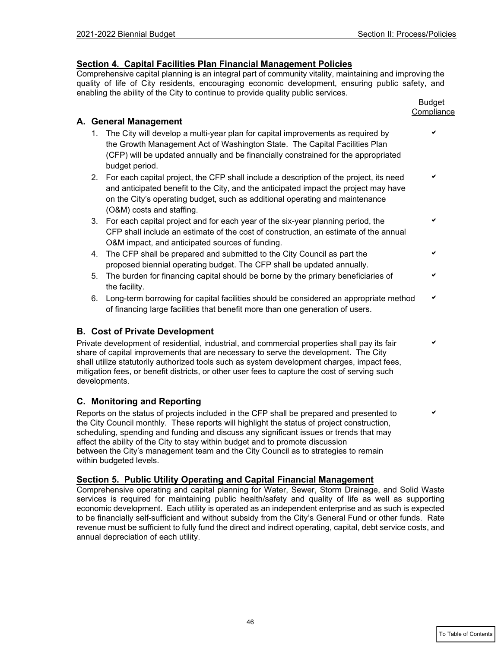## **Section 4. Capital Facilities Plan Financial Management Policies**

Comprehensive capital planning is an integral part of community vitality, maintaining and improving the quality of life of City residents, encouraging economic development, ensuring public safety, and enabling the ability of the City to continue to provide quality public services.

|    |                                                                                                                                                                                                                                                                                                | <b>Budget</b><br>Compliance |
|----|------------------------------------------------------------------------------------------------------------------------------------------------------------------------------------------------------------------------------------------------------------------------------------------------|-----------------------------|
|    | A. General Management                                                                                                                                                                                                                                                                          |                             |
|    | 1. The City will develop a multi-year plan for capital improvements as required by<br>the Growth Management Act of Washington State. The Capital Facilities Plan<br>(CFP) will be updated annually and be financially constrained for the appropriated<br>budget period.                       |                             |
|    | 2. For each capital project, the CFP shall include a description of the project, its need<br>and anticipated benefit to the City, and the anticipated impact the project may have<br>on the City's operating budget, such as additional operating and maintenance<br>(O&M) costs and staffing. |                             |
|    | 3. For each capital project and for each year of the six-year planning period, the<br>CFP shall include an estimate of the cost of construction, an estimate of the annual<br>O&M impact, and anticipated sources of funding.                                                                  | ✔                           |
| 4. | The CFP shall be prepared and submitted to the City Council as part the<br>proposed biennial operating budget. The CFP shall be updated annually.                                                                                                                                              |                             |
| 5. | The burden for financing capital should be borne by the primary beneficiaries of<br>the facility.                                                                                                                                                                                              | ✔                           |
|    | 6. Long-term borrowing for capital facilities should be considered an appropriate method<br>of financing large facilities that benefit more than one generation of users.                                                                                                                      | ✔                           |

# **B. Cost of Private Development**

Private development of residential, industrial, and commercial properties shall pay its fair share of capital improvements that are necessary to serve the development. The City shall utilize statutorily authorized tools such as system development charges, impact fees, mitigation fees, or benefit districts, or other user fees to capture the cost of serving such developments.

# **C. Monitoring and Reporting**

Reports on the status of projects included in the CFP shall be prepared and presented to the City Council monthly. These reports will highlight the status of project construction, scheduling, spending and funding and discuss any significant issues or trends that may affect the ability of the City to stay within budget and to promote discussion between the City's management team and the City Council as to strategies to remain within budgeted levels.

## **Section 5. Public Utility Operating and Capital Financial Management**

Comprehensive operating and capital planning for Water, Sewer, Storm Drainage, and Solid Waste services is required for maintaining public health/safety and quality of life as well as supporting economic development. Each utility is operated as an independent enterprise and as such is expected to be financially self-sufficient and without subsidy from the City's General Fund or other funds. Rate revenue must be sufficient to fully fund the direct and indirect operating, capital, debt service costs, and annual depreciation of each utility.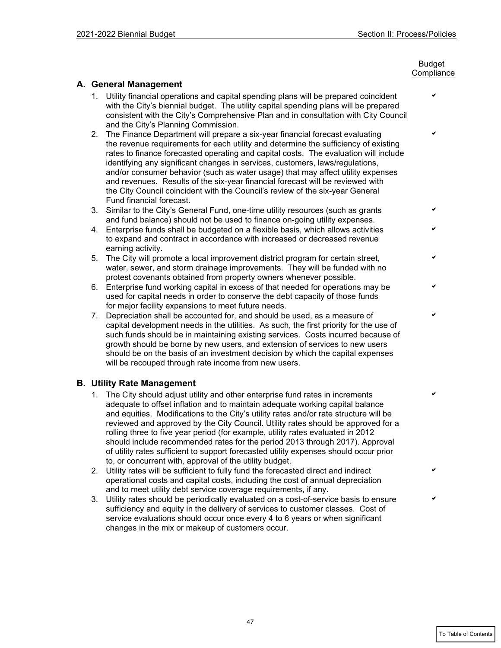#### en de la provincia de la provincia de la provincia de la provincia de la provincia de la provincia de la provi **Compliance**

# **A. General Management**

- 1. Utility financial operations and capital spending plans will be prepared coincident with the City's biennial budget. The utility capital spending plans will be prepared consistent with the City's Comprehensive Plan and in consultation with City Council and the City's Planning Commission.
- 2. The Finance Department will prepare a six-year financial forecast evaluating the revenue requirements for each utility and determine the sufficiency of existing rates to finance forecasted operating and capital costs. The evaluation will include identifying any significant changes in services, customers, laws/regulations, and/or consumer behavior (such as water usage) that may affect utility expenses and revenues. Results of the six-year financial forecast will be reviewed with the City Council coincident with the Council's review of the six-year General Fund financial forecast.
- 3. Similar to the City's General Fund, one-time utility resources (such as grants and fund balance) should not be used to finance on-going utility expenses.
- 4. Enterprise funds shall be budgeted on a flexible basis, which allows activities to expand and contract in accordance with increased or decreased revenue earning activity.
- 5. The City will promote a local improvement district program for certain street, water, sewer, and storm drainage improvements. They will be funded with no protest covenants obtained from property owners whenever possible.
- 6. Enterprise fund working capital in excess of that needed for operations may be used for capital needs in order to conserve the debt capacity of those funds for major facility expansions to meet future needs.
- 7. Depreciation shall be accounted for, and should be used, as a measure of capital development needs in the utilities. As such, the first priority for the use of such funds should be in maintaining existing services. Costs incurred because of growth should be borne by new users, and extension of services to new users should be on the basis of an investment decision by which the capital expenses will be recouped through rate income from new users.

## **B. Utility Rate Management**

- 1. The City should adjust utility and other enterprise fund rates in increments adequate to offset inflation and to maintain adequate working capital balance and equities. Modifications to the City's utility rates and/or rate structure will be reviewed and approved by the City Council. Utility rates should be approved for a rolling three to five year period (for example, utility rates evaluated in 2012 should include recommended rates for the period 2013 through 2017). Approval of utility rates sufficient to support forecasted utility expenses should occur prior to, or concurrent with, approval of the utility budget.
- 2. Utility rates will be sufficient to fully fund the forecasted direct and indirect operational costs and capital costs, including the cost of annual depreciation and to meet utility debt service coverage requirements, if any.
- 3. Utility rates should be periodically evaluated on a cost-of-service basis to ensure sufficiency and equity in the delivery of services to customer classes. Cost of service evaluations should occur once every 4 to 6 years or when significant changes in the mix or makeup of customers occur.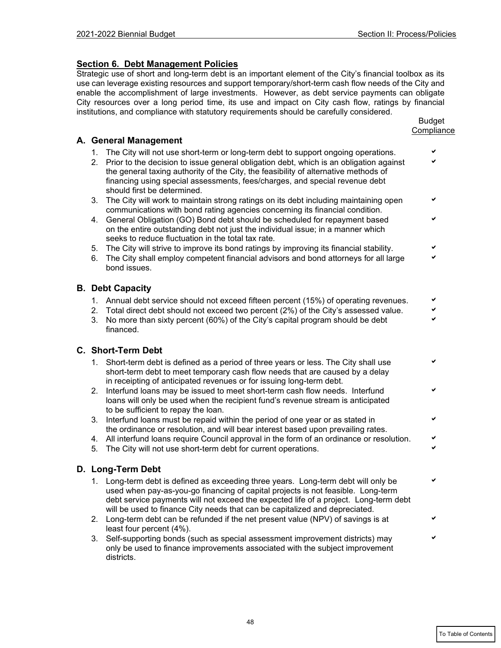# **Section 6. Debt Management Policies**

Strategic use of short and long-term debt is an important element of the City's financial toolbox as its use can leverage existing resources and support temporary/short-term cash flow needs of the City and enable the accomplishment of large investments. However, as debt service payments can obligate City resources over a long period time, its use and impact on City cash flow, ratings by financial institutions, and compliance with statutory requirements should be carefully considered.

|    |                                                                                                                                                                                                                                                                                                                                               | <b>Budget</b><br>Compliance |
|----|-----------------------------------------------------------------------------------------------------------------------------------------------------------------------------------------------------------------------------------------------------------------------------------------------------------------------------------------------|-----------------------------|
|    | A. General Management                                                                                                                                                                                                                                                                                                                         |                             |
| 1. | The City will not use short-term or long-term debt to support ongoing operations.                                                                                                                                                                                                                                                             |                             |
| 2. | Prior to the decision to issue general obligation debt, which is an obligation against<br>the general taxing authority of the City, the feasibility of alternative methods of<br>financing using special assessments, fees/charges, and special revenue debt<br>should first be determined.                                                   |                             |
| 3. | The City will work to maintain strong ratings on its debt including maintaining open<br>communications with bond rating agencies concerning its financial condition.                                                                                                                                                                          | ✔                           |
| 4. | General Obligation (GO) Bond debt should be scheduled for repayment based<br>on the entire outstanding debt not just the individual issue; in a manner which<br>seeks to reduce fluctuation in the total tax rate.                                                                                                                            |                             |
| 5. | The City will strive to improve its bond ratings by improving its financial stability.                                                                                                                                                                                                                                                        |                             |
| 6. | The City shall employ competent financial advisors and bond attorneys for all large<br>bond issues.                                                                                                                                                                                                                                           |                             |
|    | <b>B.</b> Debt Capacity                                                                                                                                                                                                                                                                                                                       |                             |
|    | 1. Annual debt service should not exceed fifteen percent (15%) of operating revenues.                                                                                                                                                                                                                                                         | ✔                           |
| 2. | Total direct debt should not exceed two percent (2%) of the City's assessed value.                                                                                                                                                                                                                                                            | ✔                           |
| 3. | No more than sixty percent (60%) of the City's capital program should be debt<br>financed.                                                                                                                                                                                                                                                    | V                           |
|    | C. Short-Term Debt                                                                                                                                                                                                                                                                                                                            |                             |
| 1. | Short-term debt is defined as a period of three years or less. The City shall use<br>short-term debt to meet temporary cash flow needs that are caused by a delay<br>in receipting of anticipated revenues or for issuing long-term debt.                                                                                                     |                             |
| 2. | Interfund loans may be issued to meet short-term cash flow needs. Interfund<br>loans will only be used when the recipient fund's revenue stream is anticipated<br>to be sufficient to repay the loan.                                                                                                                                         | ✔                           |
| 3. | Interfund loans must be repaid within the period of one year or as stated in<br>the ordinance or resolution, and will bear interest based upon prevailing rates.                                                                                                                                                                              | ✔                           |
| 4. | All interfund loans require Council approval in the form of an ordinance or resolution.                                                                                                                                                                                                                                                       | ✔                           |
| 5. | The City will not use short-term debt for current operations.                                                                                                                                                                                                                                                                                 |                             |
|    | D. Long-Term Debt                                                                                                                                                                                                                                                                                                                             |                             |
|    | 1. Long-term debt is defined as exceeding three years. Long-term debt will only be<br>used when pay-as-you-go financing of capital projects is not feasible. Long-term<br>debt service payments will not exceed the expected life of a project. Long-term debt<br>will be used to finance City needs that can be capitalized and depreciated. |                             |
| 2. | Long-term debt can be refunded if the net present value (NPV) of savings is at<br>least four percent (4%).                                                                                                                                                                                                                                    |                             |
| 3. | Self-supporting bonds (such as special assessment improvement districts) may<br>only be used to finance improvements associated with the subject improvement<br>districts.                                                                                                                                                                    |                             |

# **A. General Management**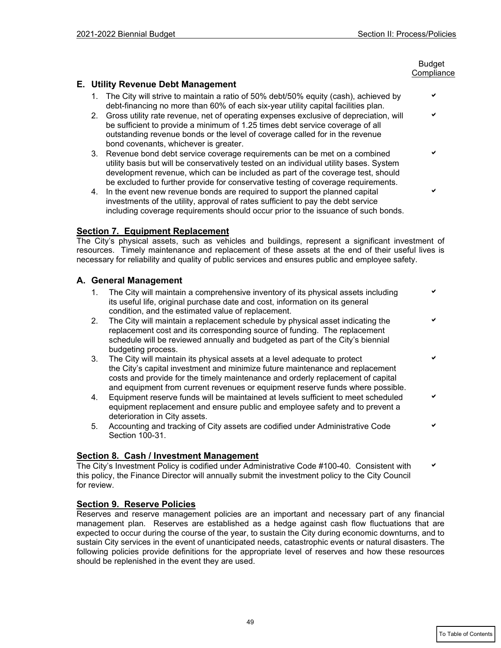#### en de la provincia de la provincia de la provincia de la provincia de la provincia de la provincia de la provi **Compliance**

## **E. Utility Revenue Debt Management**

- 1. The City will strive to maintain a ratio of 50% debt/50% equity (cash), achieved by debt-financing no more than 60% of each six-year utility capital facilities plan.
- 2. Gross utility rate revenue, net of operating expenses exclusive of depreciation, will be sufficient to provide a minimum of 1.25 times debt service coverage of all outstanding revenue bonds or the level of coverage called for in the revenue bond covenants, whichever is greater.
- 3. Revenue bond debt service coverage requirements can be met on a combined utility basis but will be conservatively tested on an individual utility bases. System development revenue, which can be included as part of the coverage test, should be excluded to further provide for conservative testing of coverage requirements.
- 4. In the event new revenue bonds are required to support the planned capital investments of the utility, approval of rates sufficient to pay the debt service including coverage requirements should occur prior to the issuance of such bonds.

### **Section 7. Equipment Replacement**

The City's physical assets, such as vehicles and buildings, represent a significant investment of resources. Timely maintenance and replacement of these assets at the end of their useful lives is necessary for reliability and quality of public services and ensures public and employee safety.

### **A. General Management**

- 1. The City will maintain a comprehensive inventory of its physical assets including its useful life, original purchase date and cost, information on its general condition, and the estimated value of replacement.
- 2. The City will maintain a replacement schedule by physical asset indicating the replacement cost and its corresponding source of funding. The replacement schedule will be reviewed annually and budgeted as part of the City's biennial budgeting process.
- 3. The City will maintain its physical assets at a level adequate to protect the City's capital investment and minimize future maintenance and replacement costs and provide for the timely maintenance and orderly replacement of capital and equipment from current revenues or equipment reserve funds where possible.
- 4. Equipment reserve funds will be maintained at levels sufficient to meet scheduled equipment replacement and ensure public and employee safety and to prevent a deterioration in City assets.
- 5. Accounting and tracking of City assets are codified under Administrative Code Section 100-31.

## **Section 8. Cash / Investment Management**

The City's Investment Policy is codified under Administrative Code #100-40. Consistent with this policy, the Finance Director will annually submit the investment policy to the City Council for review.

## **Section 9. Reserve Policies**

Reserves and reserve management policies are an important and necessary part of any financial management plan. Reserves are established as a hedge against cash flow fluctuations that are expected to occur during the course of the year, to sustain the City during economic downturns, and to sustain City services in the event of unanticipated needs, catastrophic events or natural disasters. The following policies provide definitions for the appropriate level of reserves and how these resources should be replenished in the event they are used.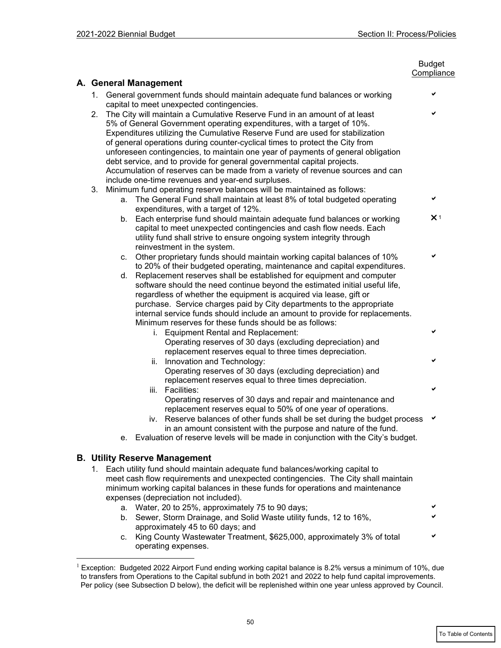|                                                                                                                                                                                                                                                                                                                                                                                                                                                                                                                                                                             |                       |                                                                                                                                                                                                                                                                                                                                                                                                                                              | <b>Budget</b><br>Compliance |  |
|-----------------------------------------------------------------------------------------------------------------------------------------------------------------------------------------------------------------------------------------------------------------------------------------------------------------------------------------------------------------------------------------------------------------------------------------------------------------------------------------------------------------------------------------------------------------------------|-----------------------|----------------------------------------------------------------------------------------------------------------------------------------------------------------------------------------------------------------------------------------------------------------------------------------------------------------------------------------------------------------------------------------------------------------------------------------------|-----------------------------|--|
|                                                                                                                                                                                                                                                                                                                                                                                                                                                                                                                                                                             | A. General Management |                                                                                                                                                                                                                                                                                                                                                                                                                                              |                             |  |
| 1. General government funds should maintain adequate fund balances or working<br>capital to meet unexpected contingencies.                                                                                                                                                                                                                                                                                                                                                                                                                                                  |                       |                                                                                                                                                                                                                                                                                                                                                                                                                                              | ✔                           |  |
| The City will maintain a Cumulative Reserve Fund in an amount of at least<br>2.<br>5% of General Government operating expenditures, with a target of 10%.<br>Expenditures utilizing the Cumulative Reserve Fund are used for stabilization<br>of general operations during counter-cyclical times to protect the City from<br>unforeseen contingencies, to maintain one year of payments of general obligation<br>debt service, and to provide for general governmental capital projects.<br>Accumulation of reserves can be made from a variety of revenue sources and can |                       |                                                                                                                                                                                                                                                                                                                                                                                                                                              |                             |  |
| include one-time revenues and year-end surpluses.<br>Minimum fund operating reserve balances will be maintained as follows:<br>3.                                                                                                                                                                                                                                                                                                                                                                                                                                           |                       |                                                                                                                                                                                                                                                                                                                                                                                                                                              |                             |  |
| a. The General Fund shall maintain at least 8% of total budgeted operating<br>expenditures, with a target of 12%.                                                                                                                                                                                                                                                                                                                                                                                                                                                           |                       |                                                                                                                                                                                                                                                                                                                                                                                                                                              |                             |  |
|                                                                                                                                                                                                                                                                                                                                                                                                                                                                                                                                                                             |                       | b. Each enterprise fund should maintain adequate fund balances or working<br>capital to meet unexpected contingencies and cash flow needs. Each<br>utility fund shall strive to ensure ongoing system integrity through<br>reinvestment in the system.                                                                                                                                                                                       | $\times$ 1                  |  |
| c. Other proprietary funds should maintain working capital balances of 10%<br>to 20% of their budgeted operating, maintenance and capital expenditures.                                                                                                                                                                                                                                                                                                                                                                                                                     |                       |                                                                                                                                                                                                                                                                                                                                                                                                                                              | ✔                           |  |
|                                                                                                                                                                                                                                                                                                                                                                                                                                                                                                                                                                             | d.                    | Replacement reserves shall be established for equipment and computer<br>software should the need continue beyond the estimated initial useful life,<br>regardless of whether the equipment is acquired via lease, gift or<br>purchase. Service charges paid by City departments to the appropriate<br>internal service funds should include an amount to provide for replacements.<br>Minimum reserves for these funds should be as follows: |                             |  |
|                                                                                                                                                                                                                                                                                                                                                                                                                                                                                                                                                                             |                       | i. Equipment Rental and Replacement:<br>Operating reserves of 30 days (excluding depreciation) and<br>replacement reserves equal to three times depreciation.                                                                                                                                                                                                                                                                                | ✓                           |  |
|                                                                                                                                                                                                                                                                                                                                                                                                                                                                                                                                                                             |                       | ii. Innovation and Technology:<br>Operating reserves of 30 days (excluding depreciation) and<br>replacement reserves equal to three times depreciation.                                                                                                                                                                                                                                                                                      | ✔                           |  |
|                                                                                                                                                                                                                                                                                                                                                                                                                                                                                                                                                                             |                       | iii. Facilities:<br>Operating reserves of 30 days and repair and maintenance and                                                                                                                                                                                                                                                                                                                                                             | ✔                           |  |
|                                                                                                                                                                                                                                                                                                                                                                                                                                                                                                                                                                             |                       | replacement reserves equal to 50% of one year of operations.<br>iv. Reserve balances of other funds shall be set during the budget process<br>in an amount consistent with the purpose and nature of the fund.<br>e. Evaluation of reserve levels will be made in conjunction with the City's budget.                                                                                                                                        | ✔                           |  |
|                                                                                                                                                                                                                                                                                                                                                                                                                                                                                                                                                                             |                       | <b>B. Utility Reserve Management</b>                                                                                                                                                                                                                                                                                                                                                                                                         |                             |  |
| 1. Each utility fund should maintain adequate fund balances/working capital to<br>meet cash flow requirements and unexpected contingencies. The City shall maintain<br>minimum working capital balances in these funds for operations and maintenance                                                                                                                                                                                                                                                                                                                       |                       |                                                                                                                                                                                                                                                                                                                                                                                                                                              |                             |  |
| expenses (depreciation not included).<br>a. Water, 20 to 25%, approximately 75 to 90 days;                                                                                                                                                                                                                                                                                                                                                                                                                                                                                  |                       |                                                                                                                                                                                                                                                                                                                                                                                                                                              | ✔                           |  |
|                                                                                                                                                                                                                                                                                                                                                                                                                                                                                                                                                                             |                       | b. Sewer, Storm Drainage, and Solid Waste utility funds, 12 to 16%,<br>approximately 45 to 60 days; and                                                                                                                                                                                                                                                                                                                                      |                             |  |
|                                                                                                                                                                                                                                                                                                                                                                                                                                                                                                                                                                             |                       | c. King County Wastewater Treatment, \$625,000, approximately 3% of total<br>operating expenses.                                                                                                                                                                                                                                                                                                                                             |                             |  |

<span id="page-9-0"></span> $^1$  Exception: Budgeted 2022 Airport Fund ending working capital balance is 8.2% versus a minimum of 10%, due to transfers from Operations to the Capital subfund in both 2021 and 2022 to help fund capital improvements. Per policy (see Subsection D below), the deficit will be replenished within one year unless approved by Council.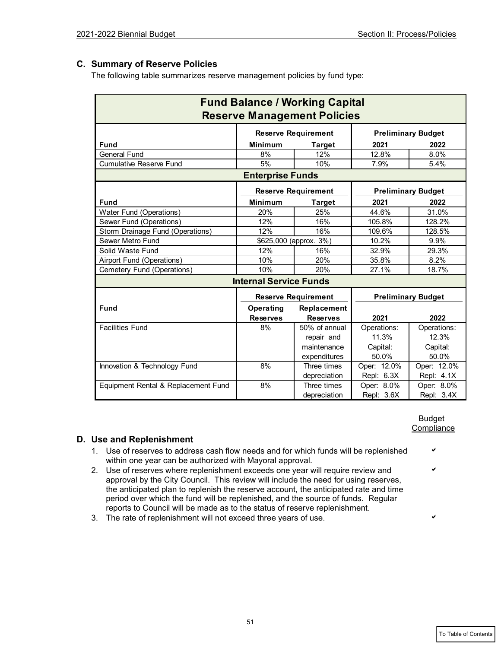# **C. Summary of Reserve Policies**

The following table summarizes reserve management policies by fund type:

| <b>Fund Balance / Working Capital</b> |                            |                                    |                           |                           |  |
|---------------------------------------|----------------------------|------------------------------------|---------------------------|---------------------------|--|
|                                       |                            | <b>Reserve Management Policies</b> |                           |                           |  |
|                                       | <b>Reserve Requirement</b> |                                    | <b>Preliminary Budget</b> |                           |  |
| <b>Fund</b>                           | <b>Minimum</b>             | <b>Target</b>                      | 2021                      | 2022                      |  |
| <b>General Fund</b>                   | 8%                         | 12%                                | 12.8%                     | 8.0%                      |  |
| <b>Cumulative Reserve Fund</b>        | 5%                         | 10%                                | 7.9%                      | 5.4%                      |  |
|                                       | <b>Enterprise Funds</b>    |                                    |                           |                           |  |
|                                       |                            | <b>Reserve Requirement</b>         |                           | <b>Preliminary Budget</b> |  |
| <b>Fund</b>                           | <b>Minimum</b>             | <b>Target</b>                      | 2021                      | 2022                      |  |
| <b>Water Fund (Operations)</b>        | 20%                        | 25%                                | 44.6%                     | 31.0%                     |  |
| Sewer Fund (Operations)               | 12%                        | 16%                                | 105.8%                    | 128.2%                    |  |
| Storm Drainage Fund (Operations)      | 12%                        | 16%                                | 109.6%                    | 128.5%                    |  |
| Sewer Metro Fund                      |                            | \$625,000 (approx. 3%)             | 10.2%                     | 9.9%                      |  |
| Solid Waste Fund                      | 12%                        | 16%                                | 32.9%                     | 29.3%                     |  |
| Airport Fund (Operations)             | 10%                        | 20%                                | 35.8%                     | 8.2%                      |  |
| Cemetery Fund (Operations)            | 10%                        | 20%                                | 27.1%                     | 18.7%                     |  |
| <b>Internal Service Funds</b>         |                            |                                    |                           |                           |  |
|                                       |                            | <b>Reserve Requirement</b>         | <b>Preliminary Budget</b> |                           |  |
| <b>Fund</b>                           | <b>Operating</b>           | Replacement                        |                           |                           |  |
|                                       | <b>Reserves</b>            | <b>Reserves</b>                    | 2021                      | 2022                      |  |
| <b>Facilities Fund</b>                | 8%                         | 50% of annual                      | Operations:               | Operations:               |  |
|                                       |                            | repair and                         | 11.3%                     | 12.3%                     |  |
|                                       |                            | maintenance                        | Capital:                  | Capital:                  |  |
|                                       |                            | expenditures                       | 50.0%                     | 50.0%                     |  |
| Innovation & Technology Fund          | 8%                         | Three times                        | Oper: 12.0%               | Oper: 12.0%               |  |
|                                       |                            | depreciation                       | Repl: 6.3X                | Repl: 4.1X                |  |
| Equipment Rental & Replacement Fund   | 8%                         | Three times                        | Oper: 8.0%                | Oper: 8.0%                |  |
|                                       |                            | depreciation                       | Repl: 3.6X                | Repl: 3.4X                |  |

en de la provincia de la provincia de la provincia de la provincia de la provincia de la provincia de la provi **Compliance** 

# **D. Use and Replenishment**

- 1. Use of reserves to address cash flow needs and for which funds will be replenished  $\sim$ within one year can be authorized with Mayoral approval.
- 2. Use of reserves where replenishment exceeds one year will require review and approval by the City Council. This review will include the need for using reserves, the anticipated plan to replenish the reserve account, the anticipated rate and time period over which the fund will be replenished, and the source of funds. Regular reports to Council will be made as to the status of reserve replenishment.
- 3. The rate of replenishment will not exceed three years of use.